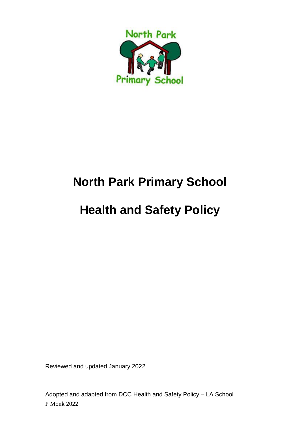

# **North Park Primary School**

# **Health and Safety Policy**

Reviewed and updated January 2022

P Monk 2022 Adopted and adapted from DCC Health and Safety Policy – LA School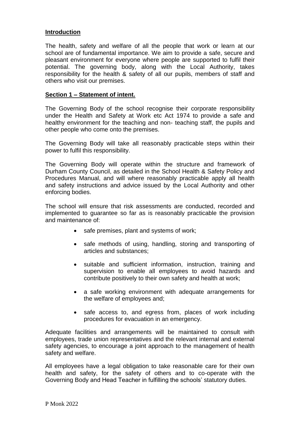# **Introduction**

The health, safety and welfare of all the people that work or learn at our school are of fundamental importance. We aim to provide a safe, secure and pleasant environment for everyone where people are supported to fulfil their potential. The governing body, along with the Local Authority, takes responsibility for the health & safety of all our pupils, members of staff and others who visit our premises.

## **Section 1 – Statement of intent.**

The Governing Body of the school recognise their corporate responsibility under the Health and Safety at Work etc Act 1974 to provide a safe and healthy environment for the teaching and non- teaching staff, the pupils and other people who come onto the premises.

The Governing Body will take all reasonably practicable steps within their power to fulfil this responsibility.

The Governing Body will operate within the structure and framework of Durham County Council, as detailed in the School Health & Safety Policy and Procedures Manual, and will where reasonably practicable apply all health and safety instructions and advice issued by the Local Authority and other enforcing bodies.

The school will ensure that risk assessments are conducted, recorded and implemented to guarantee so far as is reasonably practicable the provision and maintenance of:

- safe premises, plant and systems of work;
- safe methods of using, handling, storing and transporting of articles and substances;
- suitable and sufficient information, instruction, training and supervision to enable all employees to avoid hazards and contribute positively to their own safety and health at work;
- a safe working environment with adequate arrangements for the welfare of employees and;
- safe access to, and egress from, places of work including procedures for evacuation in an emergency.

Adequate facilities and arrangements will be maintained to consult with employees, trade union representatives and the relevant internal and external safety agencies, to encourage a joint approach to the management of health safety and welfare.

All employees have a legal obligation to take reasonable care for their own health and safety, for the safety of others and to co-operate with the Governing Body and Head Teacher in fulfilling the schools' statutory duties.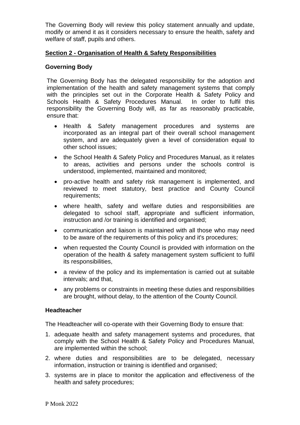The Governing Body will review this policy statement annually and update, modify or amend it as it considers necessary to ensure the health, safety and welfare of staff, pupils and others.

# **Section 2 - Organisation of Health & Safety Responsibilities**

### **Governing Body**

The Governing Body has the delegated responsibility for the adoption and implementation of the health and safety management systems that comply with the principles set out in the Corporate Health & Safety Policy and Schools Health & Safety Procedures Manual. In order to fulfil this responsibility the Governing Body will, as far as reasonably practicable, ensure that:

- Health & Safety management procedures and systems are incorporated as an integral part of their overall school management system, and are adequately given a level of consideration equal to other school issues;
- the School Health & Safety Policy and Procedures Manual, as it relates to areas, activities and persons under the schools control is understood, implemented, maintained and monitored;
- pro-active health and safety risk management is implemented, and reviewed to meet statutory, best practice and County Council requirements;
- where health, safety and welfare duties and responsibilities are delegated to school staff, appropriate and sufficient information, instruction and /or training is identified and organised;
- communication and liaison is maintained with all those who may need to be aware of the requirements of this policy and it's procedures;
- when requested the County Council is provided with information on the operation of the health & safety management system sufficient to fulfil its responsibilities,
- a review of the policy and its implementation is carried out at suitable intervals; and that,
- any problems or constraints in meeting these duties and responsibilities are brought, without delay, to the attention of the County Council.

#### **Headteacher**

The Headteacher will co-operate with their Governing Body to ensure that:

- 1. adequate health and safety management systems and procedures, that comply with the School Health & Safety Policy and Procedures Manual, are implemented within the school;
- 2. where duties and responsibilities are to be delegated, necessary information, instruction or training is identified and organised;
- 3. systems are in place to monitor the application and effectiveness of the health and safety procedures;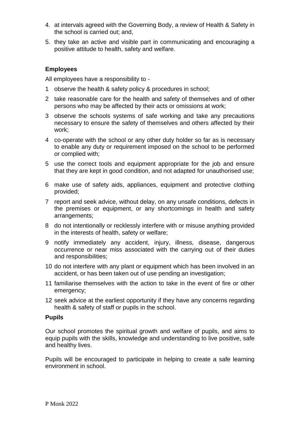- 4. at intervals agreed with the Governing Body, a review of Health & Safety in the school is carried out; and,
- 5. they take an active and visible part in communicating and encouraging a positive attitude to health, safety and welfare.

# **Employees**

All employees have a responsibility to -

- 1 observe the health & safety policy & procedures in school;
- 2 take reasonable care for the health and safety of themselves and of other persons who may be affected by their acts or omissions at work;
- 3 observe the schools systems of safe working and take any precautions necessary to ensure the safety of themselves and others affected by their work;
- 4 co-operate with the school or any other duty holder so far as is necessary to enable any duty or requirement imposed on the school to be performed or complied with;
- 5 use the correct tools and equipment appropriate for the job and ensure that they are kept in good condition, and not adapted for unauthorised use;
- 6 make use of safety aids, appliances, equipment and protective clothing provided;
- 7 report and seek advice, without delay, on any unsafe conditions, defects in the premises or equipment, or any shortcomings in health and safety arrangements;
- 8 do not intentionally or recklessly interfere with or misuse anything provided in the interests of health, safety or welfare;
- 9 notify immediately any accident, injury, illness, disease, dangerous occurrence or near miss associated with the carrying out of their duties and responsibilities;
- 10 do not interfere with any plant or equipment which has been involved in an accident, or has been taken out of use pending an investigation;
- 11 familiarise themselves with the action to take in the event of fire or other emergency;
- 12 seek advice at the earliest opportunity if they have any concerns regarding health & safety of staff or pupils in the school.

#### **Pupils**

Our school promotes the spiritual growth and welfare of pupils, and aims to equip pupils with the skills, knowledge and understanding to live positive, safe and healthy lives.

Pupils will be encouraged to participate in helping to create a safe learning environment in school.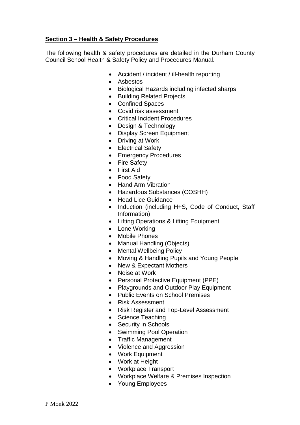# **Section 3 – Health & Safety Procedures**

The following health & safety procedures are detailed in the Durham County Council School Health & Safety Policy and Procedures Manual.

- Accident / incident / ill-health reporting
- Asbestos
- Biological Hazards including infected sharps
- Building Related Projects
- Confined Spaces
- Covid risk assessment
- Critical Incident Procedures
- Design & Technology
- Display Screen Equipment
- Driving at Work
- Electrical Safety
- Emergency Procedures
- Fire Safety
- First Aid
- Food Safety
- Hand Arm Vibration
- Hazardous Substances (COSHH)
- Head Lice Guidance
- Induction (including H+S, Code of Conduct, Staff Information)
- Lifting Operations & Lifting Equipment
- Lone Working
- Mobile Phones
- Manual Handling (Objects)
- Mental Wellbeing Policy
- Moving & Handling Pupils and Young People
- New & Expectant Mothers
- Noise at Work
- Personal Protective Equipment (PPE)
- Playgrounds and Outdoor Play Equipment
- Public Events on School Premises
- Risk Assessment
- Risk Register and Top-Level Assessment
- Science Teaching
- Security in Schools
- Swimming Pool Operation
- Traffic Management
- Violence and Aggression
- Work Equipment
- Work at Height
- Workplace Transport
- Workplace Welfare & Premises Inspection
- Young Employees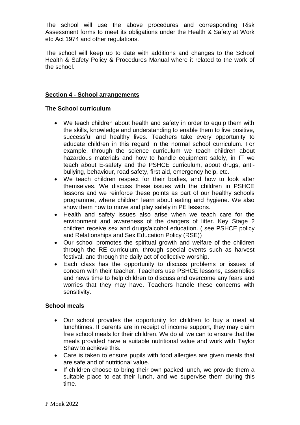The school will use the above procedures and corresponding Risk Assessment forms to meet its obligations under the Health & Safety at Work etc Act 1974 and other regulations.

The school will keep up to date with additions and changes to the School Health & Safety Policy & Procedures Manual where it related to the work of the school.

# **Section 4 - School arrangements**

## **The School curriculum**

- We teach children about health and safety in order to equip them with the skills, knowledge and understanding to enable them to live positive, successful and healthy lives. Teachers take every opportunity to educate children in this regard in the normal school curriculum. For example, through the science curriculum we teach children about hazardous materials and how to handle equipment safely, in IT we teach about E-safety and the PSHCE curriculum, about drugs, antibullying, behaviour, road safety, first aid, emergency help, etc.
- We teach children respect for their bodies, and how to look after themselves. We discuss these issues with the children in PSHCE lessons and we reinforce these points as part of our healthy schools programme, where children learn about eating and hygiene. We also show them how to move and play safely in PE lessons.
- Health and safety issues also arise when we teach care for the environment and awareness of the dangers of litter. Key Stage 2 children receive sex and drugs/alcohol education. ( see PSHCE policy and Relationships and Sex Education Policy (RSE))
- Our school promotes the spiritual growth and welfare of the children through the RE curriculum, through special events such as harvest festival, and through the daily act of collective worship.
- Each class has the opportunity to discuss problems or issues of concern with their teacher. Teachers use PSHCE lessons, assemblies and news time to help children to discuss and overcome any fears and worries that they may have. Teachers handle these concerns with sensitivity.

# **School meals**

- Our school provides the opportunity for children to buy a meal at lunchtimes. If parents are in receipt of income support, they may claim free school meals for their children. We do all we can to ensure that the meals provided have a suitable nutritional value and work with Taylor Shaw to achieve this.
- Care is taken to ensure pupils with food allergies are given meals that are safe and of nutritional value.
- If children choose to bring their own packed lunch, we provide them a suitable place to eat their lunch, and we supervise them during this time.